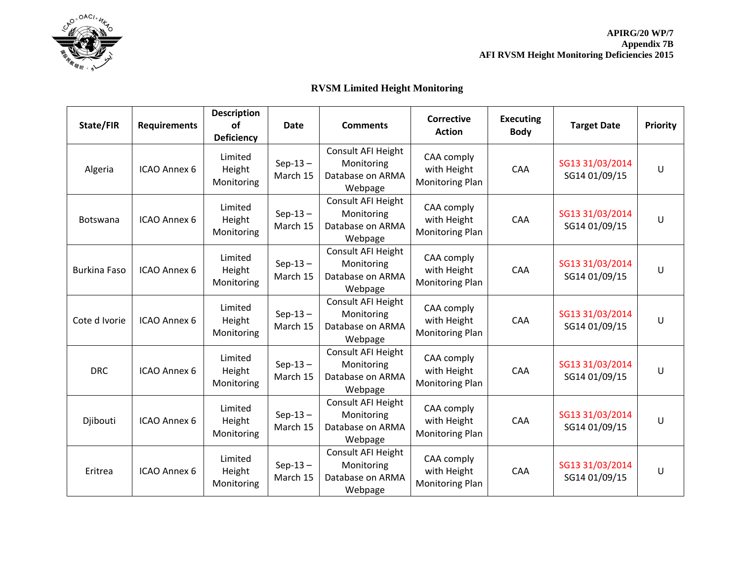

**APIRG/20 WP/7 Appendix 7B AFI RVSM Height Monitoring Deficiencies 2015**

## **RVSM Limited Height Monitoring**

| State/FIR           | <b>Requirements</b> | <b>Description</b><br>of<br><b>Deficiency</b> | <b>Date</b>           | <b>Comments</b>                                                 | <b>Corrective</b><br><b>Action</b>           | <b>Executing</b><br><b>Body</b> | <b>Target Date</b>               | Priority |
|---------------------|---------------------|-----------------------------------------------|-----------------------|-----------------------------------------------------------------|----------------------------------------------|---------------------------------|----------------------------------|----------|
| Algeria             | ICAO Annex 6        | Limited<br>Height<br>Monitoring               | $Sep-13-$<br>March 15 | Consult AFI Height<br>Monitoring<br>Database on ARMA<br>Webpage | CAA comply<br>with Height<br>Monitoring Plan | CAA                             | SG13 31/03/2014<br>SG14 01/09/15 | U        |
| <b>Botswana</b>     | ICAO Annex 6        | Limited<br>Height<br>Monitoring               | $Sep-13-$<br>March 15 | Consult AFI Height<br>Monitoring<br>Database on ARMA<br>Webpage | CAA comply<br>with Height<br>Monitoring Plan | CAA                             | SG13 31/03/2014<br>SG14 01/09/15 | U        |
| <b>Burkina Faso</b> | ICAO Annex 6        | Limited<br>Height<br>Monitoring               | $Sep-13-$<br>March 15 | Consult AFI Height<br>Monitoring<br>Database on ARMA<br>Webpage | CAA comply<br>with Height<br>Monitoring Plan | CAA                             | SG13 31/03/2014<br>SG14 01/09/15 | U        |
| Cote d Ivorie       | ICAO Annex 6        | Limited<br>Height<br>Monitoring               | $Sep-13-$<br>March 15 | Consult AFI Height<br>Monitoring<br>Database on ARMA<br>Webpage | CAA comply<br>with Height<br>Monitoring Plan | CAA                             | SG13 31/03/2014<br>SG14 01/09/15 | U        |
| <b>DRC</b>          | ICAO Annex 6        | Limited<br>Height<br>Monitoring               | $Sep-13-$<br>March 15 | Consult AFI Height<br>Monitoring<br>Database on ARMA<br>Webpage | CAA comply<br>with Height<br>Monitoring Plan | CAA                             | SG13 31/03/2014<br>SG14 01/09/15 | U        |
| Djibouti            | ICAO Annex 6        | Limited<br>Height<br>Monitoring               | $Sep-13-$<br>March 15 | Consult AFI Height<br>Monitoring<br>Database on ARMA<br>Webpage | CAA comply<br>with Height<br>Monitoring Plan | CAA                             | SG13 31/03/2014<br>SG14 01/09/15 | U        |
| Eritrea             | ICAO Annex 6        | Limited<br>Height<br>Monitoring               | $Sep-13-$<br>March 15 | Consult AFI Height<br>Monitoring<br>Database on ARMA<br>Webpage | CAA comply<br>with Height<br>Monitoring Plan | CAA                             | SG13 31/03/2014<br>SG14 01/09/15 | U        |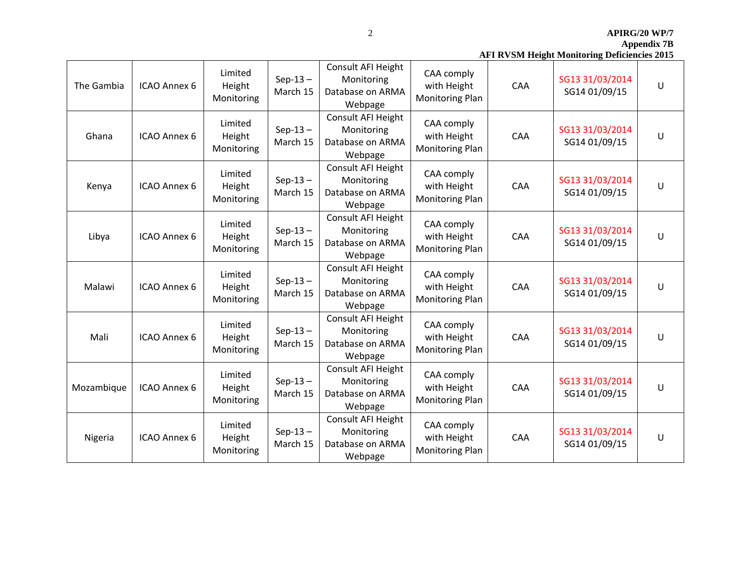**APIRG/20 WP/7**

**Appendix 7B**

|  | <b>AFI RVSM Height Monitoring Deficiencies 2015</b> |  |
|--|-----------------------------------------------------|--|
|  |                                                     |  |

| The Gambia | ICAO Annex 6 | Limited<br>Height<br>Monitoring | $Sep-13-$<br>March 15 | Consult AFI Height<br>Monitoring<br>Database on ARMA<br>Webpage | CAA comply<br>with Height<br>Monitoring Plan        | CAA        | SG13 31/03/2014<br>SG14 01/09/15 | U      |
|------------|--------------|---------------------------------|-----------------------|-----------------------------------------------------------------|-----------------------------------------------------|------------|----------------------------------|--------|
| Ghana      | ICAO Annex 6 | Limited<br>Height<br>Monitoring | $Sep-13-$<br>March 15 | Consult AFI Height<br>Monitoring<br>Database on ARMA<br>Webpage | CAA comply<br>with Height<br>Monitoring Plan        | CAA        | SG13 31/03/2014<br>SG14 01/09/15 | U      |
| Kenya      | ICAO Annex 6 | Limited<br>Height<br>Monitoring | $Sep-13-$<br>March 15 | Consult AFI Height<br>Monitoring<br>Database on ARMA<br>Webpage | CAA comply<br>with Height<br>Monitoring Plan        | CAA        | SG13 31/03/2014<br>SG14 01/09/15 | $\cup$ |
| Libya      | ICAO Annex 6 | Limited<br>Height<br>Monitoring | $Sep-13-$<br>March 15 | Consult AFI Height<br>Monitoring<br>Database on ARMA<br>Webpage | CAA comply<br>with Height<br>Monitoring Plan        | CAA        | SG13 31/03/2014<br>SG14 01/09/15 | U      |
| Malawi     | ICAO Annex 6 | Limited<br>Height<br>Monitoring | $Sep-13-$<br>March 15 | Consult AFI Height<br>Monitoring<br>Database on ARMA<br>Webpage | CAA comply<br>with Height<br>Monitoring Plan        | <b>CAA</b> | SG13 31/03/2014<br>SG14 01/09/15 | U      |
| Mali       | ICAO Annex 6 | Limited<br>Height<br>Monitoring | $Sep-13-$<br>March 15 | Consult AFI Height<br>Monitoring<br>Database on ARMA<br>Webpage | CAA comply<br>with Height<br>Monitoring Plan        | CAA        | SG13 31/03/2014<br>SG14 01/09/15 | U      |
| Mozambique | ICAO Annex 6 | Limited<br>Height<br>Monitoring | $Sep-13-$<br>March 15 | Consult AFI Height<br>Monitoring<br>Database on ARMA<br>Webpage | CAA comply<br>with Height<br>Monitoring Plan        | <b>CAA</b> | SG13 31/03/2014<br>SG14 01/09/15 | U      |
| Nigeria    | ICAO Annex 6 | Limited<br>Height<br>Monitoring | $Sep-13-$<br>March 15 | Consult AFI Height<br>Monitoring<br>Database on ARMA<br>Webpage | CAA comply<br>with Height<br><b>Monitoring Plan</b> | CAA        | SG13 31/03/2014<br>SG14 01/09/15 | U      |